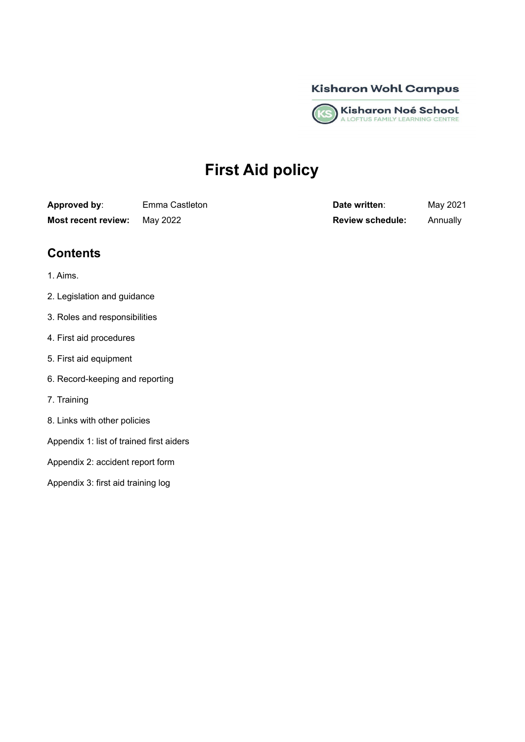



# **First Aid policy**

| Approved by:        | Emma Castleton |  |
|---------------------|----------------|--|
| Most recent review: | May 2022       |  |

**Date written:** May 2021 **Most recent review:** May 2022 **Review schedule:** Annually

# **Contents**

- 1. Aims.
- 2. Legislation and guidance
- 3. Roles and responsibilities
- 4. First aid procedures
- 5. First aid equipment
- 6. Record-keeping and reporting
- 7. Training
- 8. Links with other policies
- Appendix 1: list of trained first aiders
- Appendix 2: accident report form
- Appendix 3: first aid training log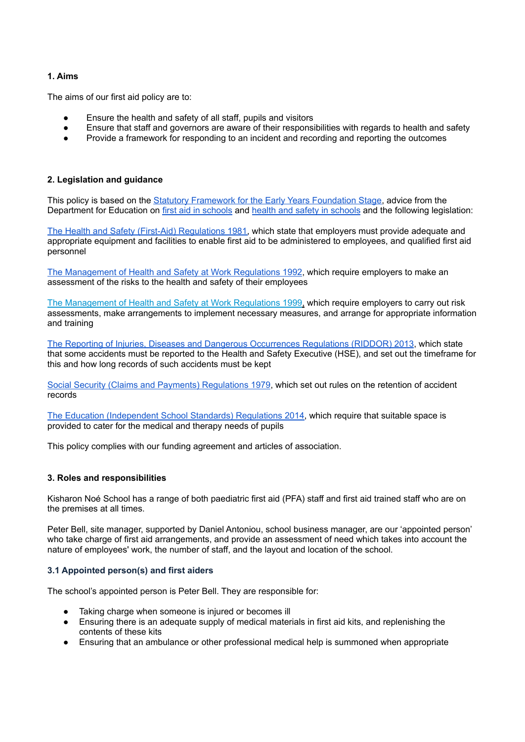# **1. Aims**

The aims of our first aid policy are to:

- Ensure the health and safety of all staff, pupils and visitors
- Ensure that staff and governors are aware of their responsibilities with regards to health and safety
- Provide a framework for responding to an incident and recording and reporting the outcomes

# **2. Legislation and guidance**

This policy is based on the Statutory Framework for the Early Years [Foundation](https://www.gov.uk/government/publications/early-years-foundation-stage-framework--2) Stage, advice from the Department for Education on first aid in [schools](https://www.gov.uk/government/publications/first-aid-in-schools) and health and safety in [schools](https://www.gov.uk/government/publications/health-and-safety-advice-for-schools) and the following legislation:

The Health and Safety (First-Aid) [Regulations](http://www.legislation.gov.uk/uksi/1981/917/regulation/3/made) 1981, which state that employers must provide adequate and appropriate equipment and facilities to enable first aid to be administered to employees, and qualified first aid personnel

The [Management](http://www.legislation.gov.uk/uksi/1992/2051/regulation/3/made) of Health and Safety at Work Regulations 1992, which require employers to make an assessment of the risks to the health and safety of their employees

The [Management](http://www.legislation.gov.uk/uksi/1999/3242/contents/made) of Health and Safety at Work Regulations 1999, which require employers to carry out risk assessments, make arrangements to implement necessary measures, and arrange for appropriate information and training

The Reporting of Injuries, Diseases and Dangerous [Occurrences](http://www.legislation.gov.uk/uksi/2013/1471/schedule/1/paragraph/1/made) Regulations (RIDDOR) 2013, which state that some accidents must be reported to the Health and Safety Executive (HSE), and set out the timeframe for this and how long records of such accidents must be kept

Social Security (Claims and Payments) [Regulations](http://www.legislation.gov.uk/uksi/1979/628) 1979, which set out rules on the retention of accident records

The Education [\(Independent](http://www.legislation.gov.uk/uksi/2014/3283/schedule/made) School Standards) Regulations 2014, which require that suitable space is provided to cater for the medical and therapy needs of pupils

This policy complies with our funding agreement and articles of association.

# **3. Roles and responsibilities**

Kisharon Noé School has a range of both paediatric first aid (PFA) staff and first aid trained staff who are on the premises at all times.

Peter Bell, site manager, supported by Daniel Antoniou, school business manager, are our 'appointed person' who take charge of first aid arrangements, and provide an assessment of need which takes into account the nature of employees' work, the number of staff, and the layout and location of the school.

# **3.1 Appointed person(s) and first aiders**

The school's appointed person is Peter Bell. They are responsible for:

- Taking charge when someone is injured or becomes ill
- Ensuring there is an adequate supply of medical materials in first aid kits, and replenishing the contents of these kits
- Ensuring that an ambulance or other professional medical help is summoned when appropriate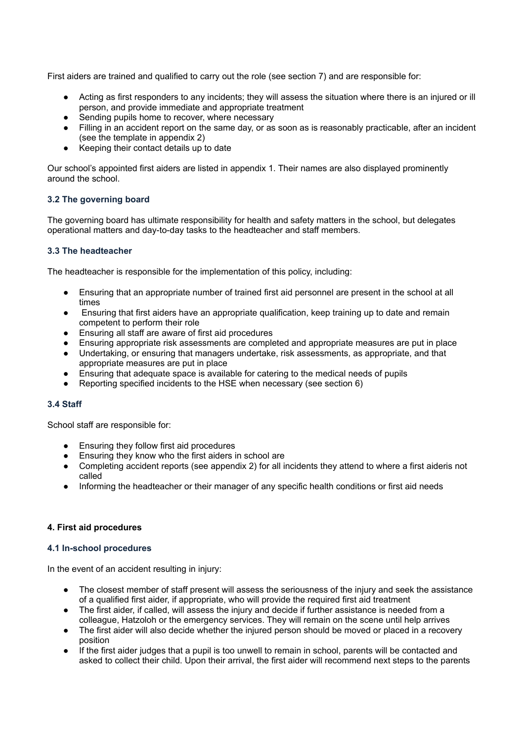First aiders are trained and qualified to carry out the role (see section 7) and are responsible for:

- Acting as first responders to any incidents; they will assess the situation where there is an injured or ill person, and provide immediate and appropriate treatment
- Sending pupils home to recover, where necessary
- Filling in an accident report on the same day, or as soon as is reasonably practicable, after an incident (see the template in appendix 2)
- Keeping their contact details up to date

Our school's appointed first aiders are listed in appendix 1. Their names are also displayed prominently around the school.

#### **3.2 The governing board**

The governing board has ultimate responsibility for health and safety matters in the school, but delegates operational matters and day-to-day tasks to the headteacher and staff members.

#### **3.3 The headteacher**

The headteacher is responsible for the implementation of this policy, including:

- Ensuring that an appropriate number of trained first aid personnel are present in the school at all times
- Ensuring that first aiders have an appropriate qualification, keep training up to date and remain competent to perform their role
- Ensuring all staff are aware of first aid procedures
- Ensuring appropriate risk assessments are completed and appropriate measures are put in place
- Undertaking, or ensuring that managers undertake, risk assessments, as appropriate, and that appropriate measures are put in place
- Ensuring that adequate space is available for catering to the medical needs of pupils
- Reporting specified incidents to the HSE when necessary (see section 6)

# **3.4 Staff**

School staff are responsible for:

- Ensuring they follow first aid procedures
- Ensuring they know who the first aiders in school are
- Completing accident reports (see appendix 2) for all incidents they attend to where a first aideris not called
- Informing the headteacher or their manager of any specific health conditions or first aid needs

# **4. First aid procedures**

#### **4.1 In-school procedures**

In the event of an accident resulting in injury:

- The closest member of staff present will assess the seriousness of the injury and seek the assistance of a qualified first aider, if appropriate, who will provide the required first aid treatment
- The first aider, if called, will assess the injury and decide if further assistance is needed from a colleague, Hatzoloh or the emergency services. They will remain on the scene until help arrives
- The first aider will also decide whether the injured person should be moved or placed in a recovery position
- If the first aider judges that a pupil is too unwell to remain in school, parents will be contacted and asked to collect their child. Upon their arrival, the first aider will recommend next steps to the parents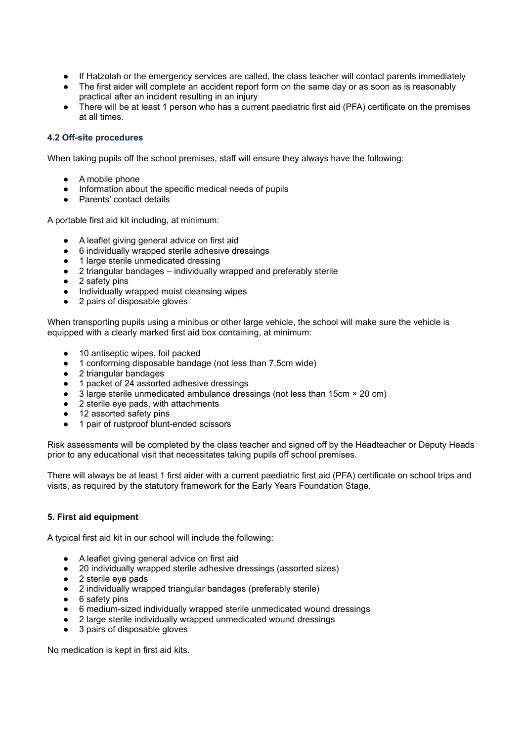- If Hatzolah or the emergency services are called, the class teacher will contact parents immediately
- The first aider will complete an accident report form on the same day or as soon as is reasonably practical after an incident resulting in an injury
- There will be at least 1 person who has a current paediatric first aid (PFA) certificate on the premises at all times.

#### **4.2 Off-site procedures**

When taking pupils off the school premises, staff will ensure they always have the following:

- A mobile phone
- Information about the specific medical needs of pupils
- Parents' contact details

A portable first aid kit including, at minimum:

- A leaflet giving general advice on first aid
- 6 individually wrapped sterile adhesive dressings
- 1 large sterile unmedicated dressing
- 2 triangular bandages individually wrapped and preferably sterile
- 2 safety pins<br>● Individually w
- Individually wrapped moist cleansing wipes
- 2 pairs of disposable gloves

When transporting pupils using a minibus or other large vehicle, the school will make sure the vehicle is equipped with a clearly marked first aid box containing, at minimum:

- 10 antiseptic wipes, foil packed
- 1 conforming disposable bandage (not less than 7.5cm wide)
- 2 triangular bandages
- 1 packet of 24 assorted adhesive dressings
- 3 large sterile unmedicated ambulance dressings (not less than 15cm × 20 cm)
- 2 sterile eye pads, with attachments
- 12 assorted safety pins
- 1 pair of rustproof blunt-ended scissors

Risk assessments will be completed by the class teacher and signed off by the Headteacher or Deputy Heads prior to any educational visit that necessitates taking pupils off school premises.

There will always be at least 1 first aider with a current paediatric first aid (PFA) certificate on school trips and visits, as required by the statutory framework for the Early Years Foundation Stage.

#### **5. First aid equipment**

A typical first aid kit in our school will include the following:

- A leaflet giving general advice on first aid
- 20 individually wrapped sterile adhesive dressings (assorted sizes)
- 2 sterile eye pads
- 2 individually wrapped triangular bandages (preferably sterile)
- 6 safety pins
- 6 medium-sized individually wrapped sterile unmedicated wound dressings
- 2 large sterile individually wrapped unmedicated wound dressings
- 3 pairs of disposable gloves

No medication is kept in first aid kits.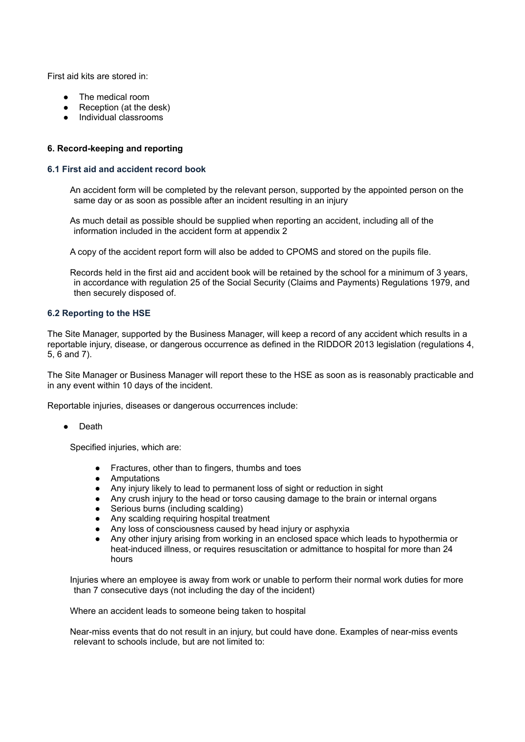First aid kits are stored in:

- The medical room
- Reception (at the desk)
- Individual classrooms

# **6. Record-keeping and reporting**

### **6.1 First aid and accident record book**

An accident form will be completed by the relevant person, supported by the appointed person on the same day or as soon as possible after an incident resulting in an injury

As much detail as possible should be supplied when reporting an accident, including all of the information included in the accident form at appendix 2

A copy of the accident report form will also be added to CPOMS and stored on the pupils file.

Records held in the first aid and accident book will be retained by the school for a minimum of 3 years, in accordance with regulation 25 of the Social Security (Claims and Payments) Regulations 1979, and then securely disposed of.

#### **6.2 Reporting to the HSE**

The Site Manager, supported by the Business Manager, will keep a record of any accident which results in a reportable injury, disease, or dangerous occurrence as defined in the RIDDOR 2013 legislation (regulations 4, 5, 6 and 7).

The Site Manager or Business Manager will report these to the HSE as soon as is reasonably practicable and in any event within 10 days of the incident.

Reportable injuries, diseases or dangerous occurrences include:

● Death

Specified injuries, which are:

- Fractures, other than to fingers, thumbs and toes
- Amputations
- Any injury likely to lead to permanent loss of sight or reduction in sight
- Any crush injury to the head or torso causing damage to the brain or internal organs
- Serious burns (including scalding)<br>● Any scalding requiring hospital trea
- Any scalding requiring hospital treatment
- Any loss of consciousness caused by head injury or asphyxia
- Any other injury arising from working in an enclosed space which leads to hypothermia or heat-induced illness, or requires resuscitation or admittance to hospital for more than 24 hours

Injuries where an employee is away from work or unable to perform their normal work duties for more than 7 consecutive days (not including the day of the incident)

Where an accident leads to someone being taken to hospital

Near-miss events that do not result in an injury, but could have done. Examples of near-miss events relevant to schools include, but are not limited to: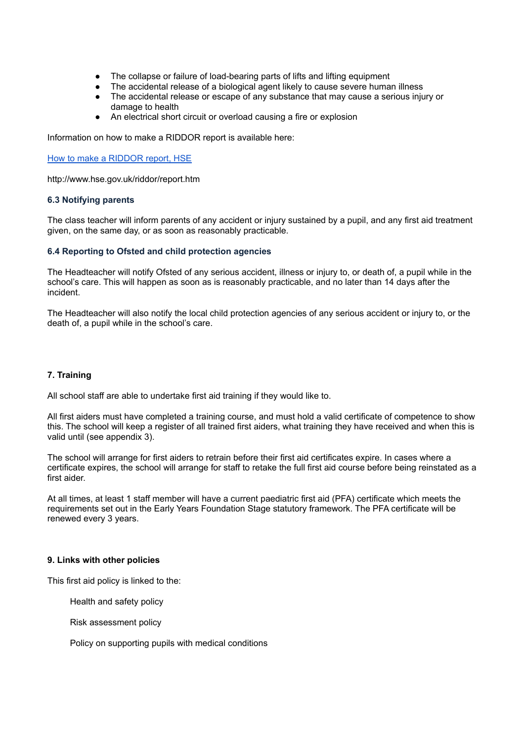- The collapse or failure of load-bearing parts of lifts and lifting equipment
- The accidental release of a biological agent likely to cause severe human illness
- The accidental release or escape of any substance that may cause a serious injury or damage to health
- An electrical short circuit or overload causing a fire or explosion

Information on how to make a RIDDOR report is available here:

How to make a [RIDDOR](http://www.hse.gov.uk/riddor/report.htm) report, HSE

http://www.hse.gov.uk/riddor/report.htm

#### **6.3 Notifying parents**

The class teacher will inform parents of any accident or injury sustained by a pupil, and any first aid treatment given, on the same day, or as soon as reasonably practicable.

#### **6.4 Reporting to Ofsted and child protection agencies**

The Headteacher will notify Ofsted of any serious accident, illness or injury to, or death of, a pupil while in the school's care. This will happen as soon as is reasonably practicable, and no later than 14 days after the incident.

The Headteacher will also notify the local child protection agencies of any serious accident or injury to, or the death of, a pupil while in the school's care.

### **7. Training**

All school staff are able to undertake first aid training if they would like to.

All first aiders must have completed a training course, and must hold a valid certificate of competence to show this. The school will keep a register of all trained first aiders, what training they have received and when this is valid until (see appendix 3).

The school will arrange for first aiders to retrain before their first aid certificates expire. In cases where a certificate expires, the school will arrange for staff to retake the full first aid course before being reinstated as a first aider.

At all times, at least 1 staff member will have a current paediatric first aid (PFA) certificate which meets the requirements set out in the Early Years Foundation Stage statutory framework. The PFA certificate will be renewed every 3 years.

#### **9. Links with other policies**

This first aid policy is linked to the:

Health and safety policy

Risk assessment policy

Policy on supporting pupils with medical conditions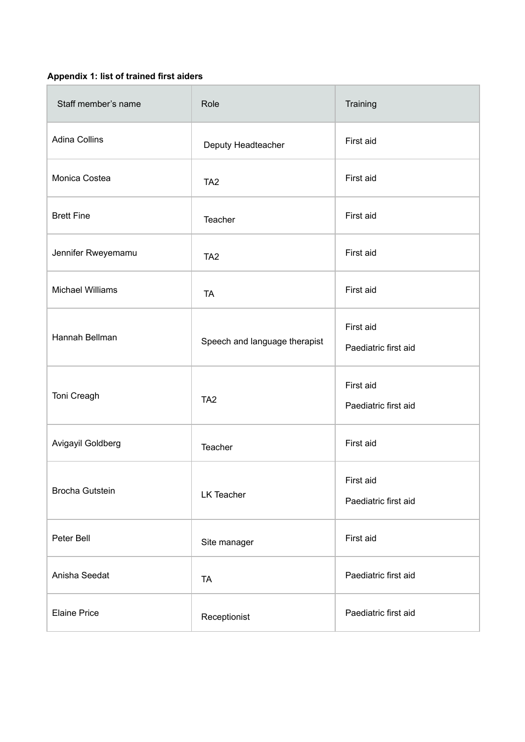# **Appendix 1: list of trained first aiders**

| Staff member's name     | Role                          | Training                          |
|-------------------------|-------------------------------|-----------------------------------|
| <b>Adina Collins</b>    | Deputy Headteacher            | First aid                         |
| Monica Costea           | TA <sub>2</sub>               | First aid                         |
| <b>Brett Fine</b>       | Teacher                       | First aid                         |
| Jennifer Rweyemamu      | TA <sub>2</sub>               | First aid                         |
| <b>Michael Williams</b> | <b>TA</b>                     | First aid                         |
| Hannah Bellman          | Speech and language therapist | First aid<br>Paediatric first aid |
| Toni Creagh             | TA <sub>2</sub>               | First aid<br>Paediatric first aid |
| Avigayil Goldberg       | Teacher                       | First aid                         |
| <b>Brocha Gutstein</b>  | <b>LK Teacher</b>             | First aid<br>Paediatric first aid |
| Peter Bell              | Site manager                  | First aid                         |
| Anisha Seedat           | <b>TA</b>                     | Paediatric first aid              |
| <b>Elaine Price</b>     | Receptionist                  | Paediatric first aid              |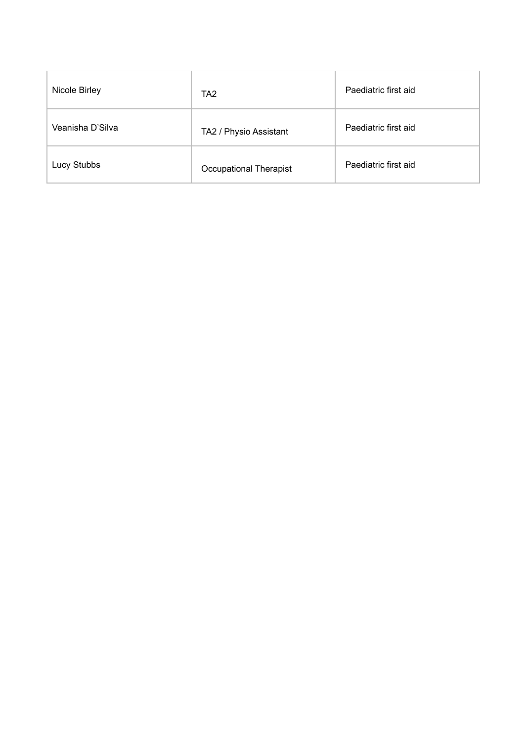| Nicole Birley    | TA <sub>2</sub>               | Paediatric first aid |
|------------------|-------------------------------|----------------------|
| Veanisha D'Silva | TA2 / Physio Assistant        | Paediatric first aid |
| Lucy Stubbs      | <b>Occupational Therapist</b> | Paediatric first aid |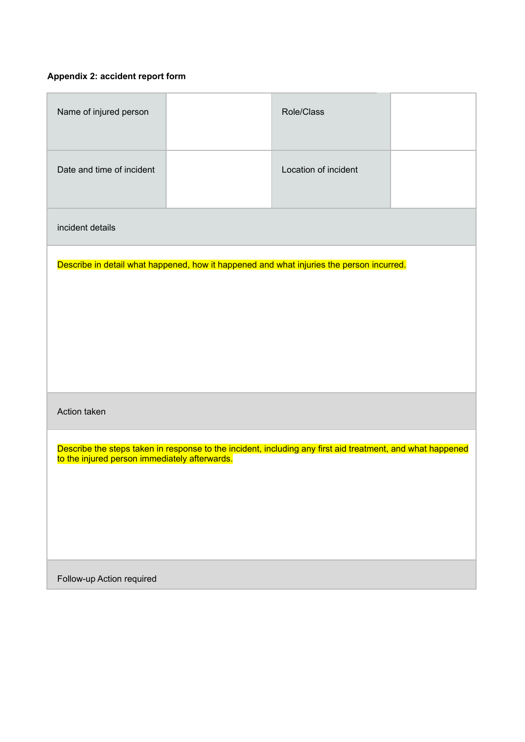# **Appendix 2: accident report form**

| Name of injured person                                                                                                                                      |  | Role/Class           |  |
|-------------------------------------------------------------------------------------------------------------------------------------------------------------|--|----------------------|--|
| Date and time of incident                                                                                                                                   |  | Location of incident |  |
| incident details                                                                                                                                            |  |                      |  |
| Describe in detail what happened, how it happened and what injuries the person incurred.                                                                    |  |                      |  |
| Action taken                                                                                                                                                |  |                      |  |
| Describe the steps taken in response to the incident, including any first aid treatment, and what happened<br>to the injured person immediately afterwards. |  |                      |  |
| Follow-up Action required                                                                                                                                   |  |                      |  |